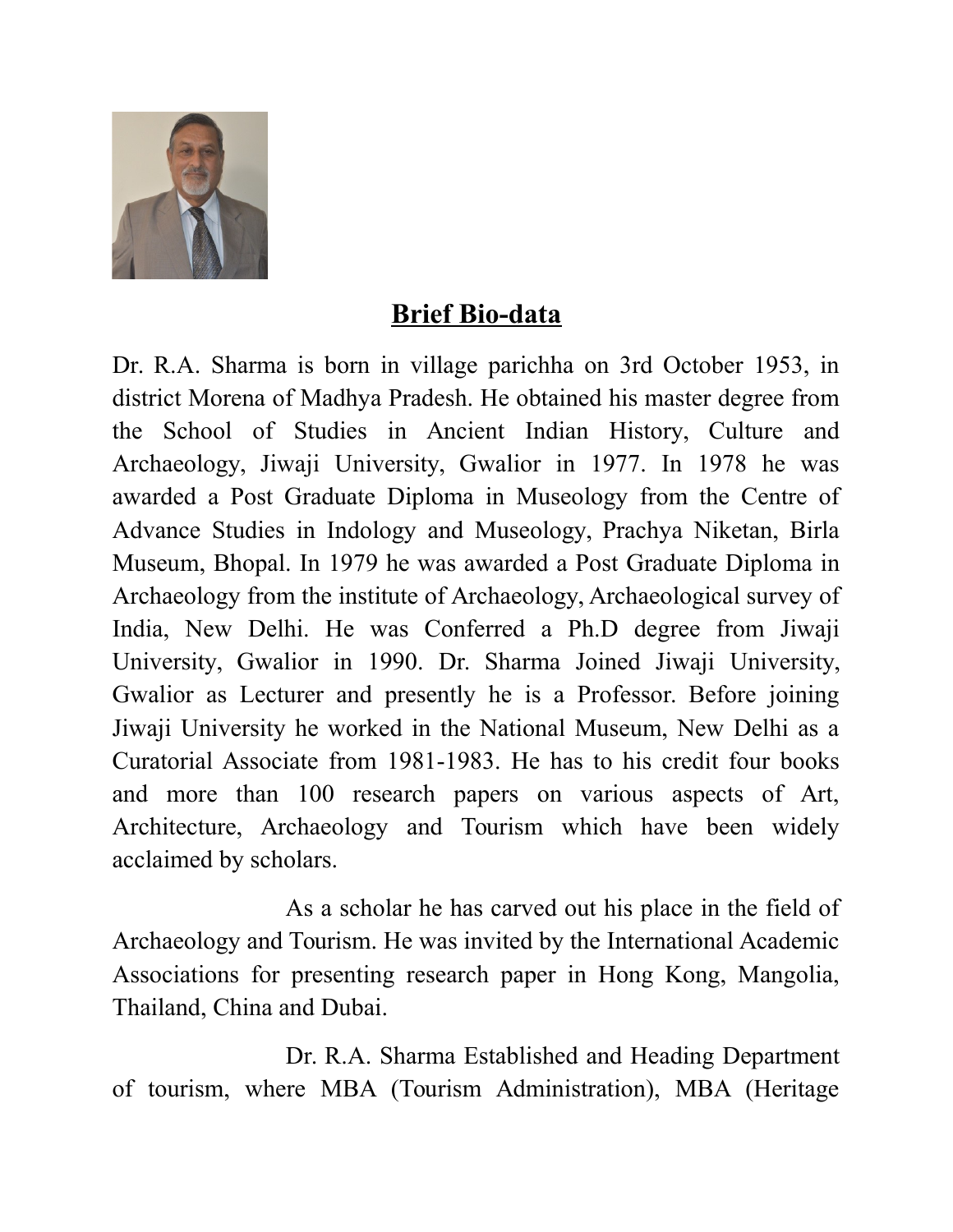

## **Brief Bio-data**

Dr. R.A. Sharma is born in village parichha on 3rd October 1953, in district Morena of Madhya Pradesh. He obtained his master degree from the School of Studies in Ancient Indian History, Culture and Archaeology, Jiwaji University, Gwalior in 1977. In 1978 he was awarded a Post Graduate Diploma in Museology from the Centre of Advance Studies in Indology and Museology, Prachya Niketan, Birla Museum, Bhopal. In 1979 he was awarded a Post Graduate Diploma in Archaeology from the institute of Archaeology, Archaeological survey of India, New Delhi. He was Conferred a Ph.D degree from Jiwaji University, Gwalior in 1990. Dr. Sharma Joined Jiwaji University, Gwalior as Lecturer and presently he is a Professor. Before joining Jiwaji University he worked in the National Museum, New Delhi as a Curatorial Associate from 1981-1983. He has to his credit four books and more than 100 research papers on various aspects of Art, Architecture, Archaeology and Tourism which have been widely acclaimed by scholars.

As a scholar he has carved out his place in the field of Archaeology and Tourism. He was invited by the International Academic Associations for presenting research paper in Hong Kong, Mangolia, Thailand, China and Dubai.

Dr. R.A. Sharma Established and Heading Department of tourism, where MBA (Tourism Administration), MBA (Heritage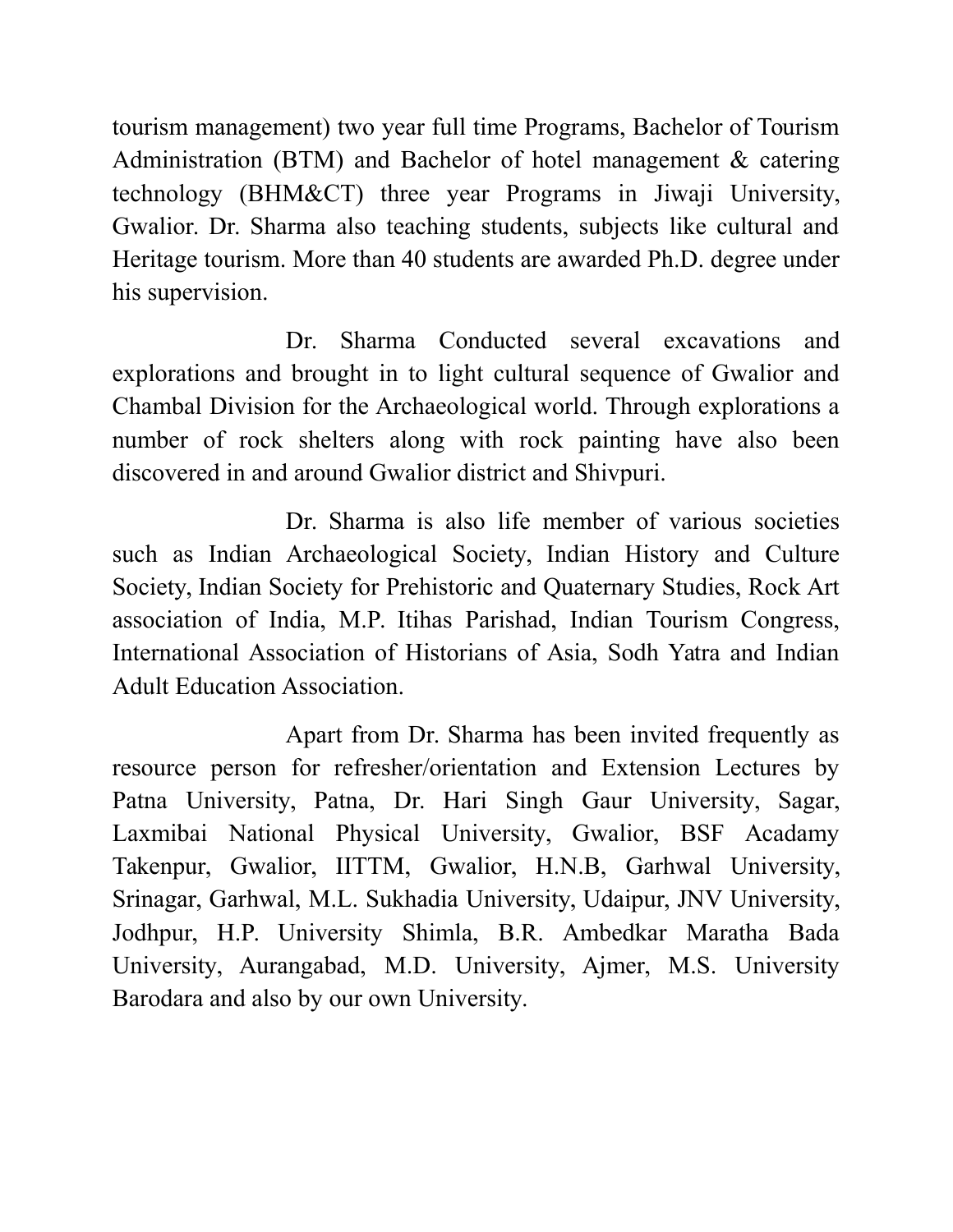tourism management) two year full time Programs, Bachelor of Tourism Administration (BTM) and Bachelor of hotel management & catering technology (BHM&CT) three year Programs in Jiwaji University, Gwalior. Dr. Sharma also teaching students, subjects like cultural and Heritage tourism. More than 40 students are awarded Ph.D. degree under his supervision.

Dr. Sharma Conducted several excavations and explorations and brought in to light cultural sequence of Gwalior and Chambal Division for the Archaeological world. Through explorations a number of rock shelters along with rock painting have also been discovered in and around Gwalior district and Shivpuri.

Dr. Sharma is also life member of various societies such as Indian Archaeological Society, Indian History and Culture Society, Indian Society for Prehistoric and Quaternary Studies, Rock Art association of India, M.P. Itihas Parishad, Indian Tourism Congress, International Association of Historians of Asia, Sodh Yatra and Indian Adult Education Association.

Apart from Dr. Sharma has been invited frequently as resource person for refresher/orientation and Extension Lectures by Patna University, Patna, Dr. Hari Singh Gaur University, Sagar, Laxmibai National Physical University, Gwalior, BSF Acadamy Takenpur, Gwalior, IITTM, Gwalior, H.N.B, Garhwal University, Srinagar, Garhwal, M.L. Sukhadia University, Udaipur, JNV University, Jodhpur, H.P. University Shimla, B.R. Ambedkar Maratha Bada University, Aurangabad, M.D. University, Ajmer, M.S. University Barodara and also by our own University.